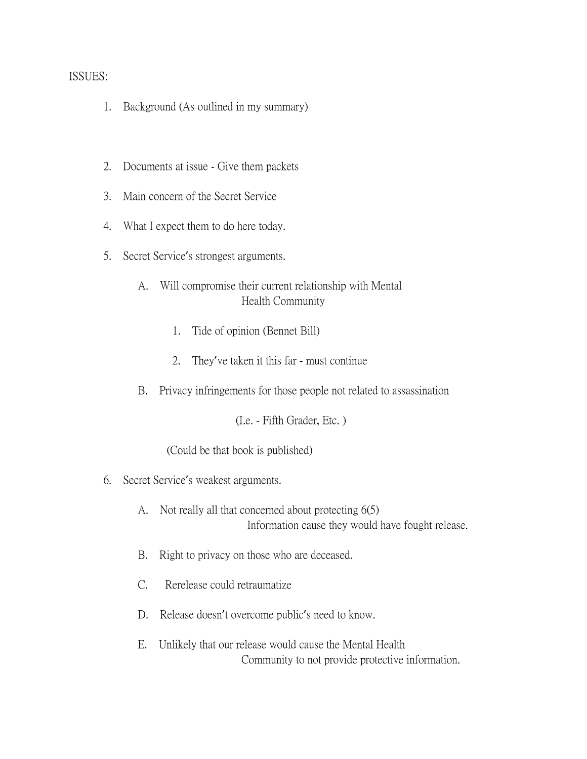## ISSUES:

- 1. Background (As outlined in my summary)
- 2. Documents at issue Give them packets
- 3. Main concern of the Secret Service
- 4. What I expect them to do here today.
- 5. Secret Service's strongest arguments.
	- A. Will compromise their current relationship with Mental Health Community
		- 1. Tide of opinion (Bennet Bill)
		- 2. They've taken it this far must continue
	- B. Privacy infringements for those people not related to assassination

(I.e. - Fifth Grader, Etc. )

(Could be that book is published)

- 6. Secret Service's weakest arguments.
	- A. Not really all that concerned about protecting 6(5) Information cause they would have fought release.
	- B. Right to privacy on those who are deceased.
	- C. Rerelease could retraumatize
	- D. Release doesn't overcome public's need to know.
	- E. Unlikely that our release would cause the Mental Health Community to not provide protective information.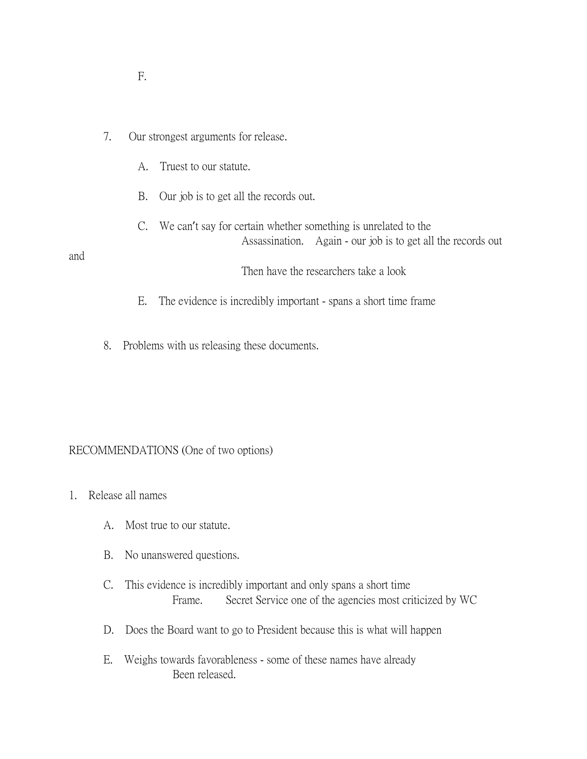| . . |     |
|-----|-----|
|     |     |
|     | o m |

## 7. Our strongest arguments for release.

- A. Truest to our statute.
- B. Our job is to get all the records out.
- C. We can't say for certain whether something is unrelated to the Assassination. Again - our job is to get all the records out

## and

Then have the researchers take a look

- E. The evidence is incredibly important spans a short time frame
- 8. Problems with us releasing these documents.

## RECOMMENDATIONS (One of two options)

- 1. Release all names
	- A. Most true to our statute.
	- B. No unanswered questions.
	- C. This evidence is incredibly important and only spans a short time Frame. Secret Service one of the agencies most criticized by WC
	- D. Does the Board want to go to President because this is what will happen
	- E. Weighs towards favorableness some of these names have already Been released.